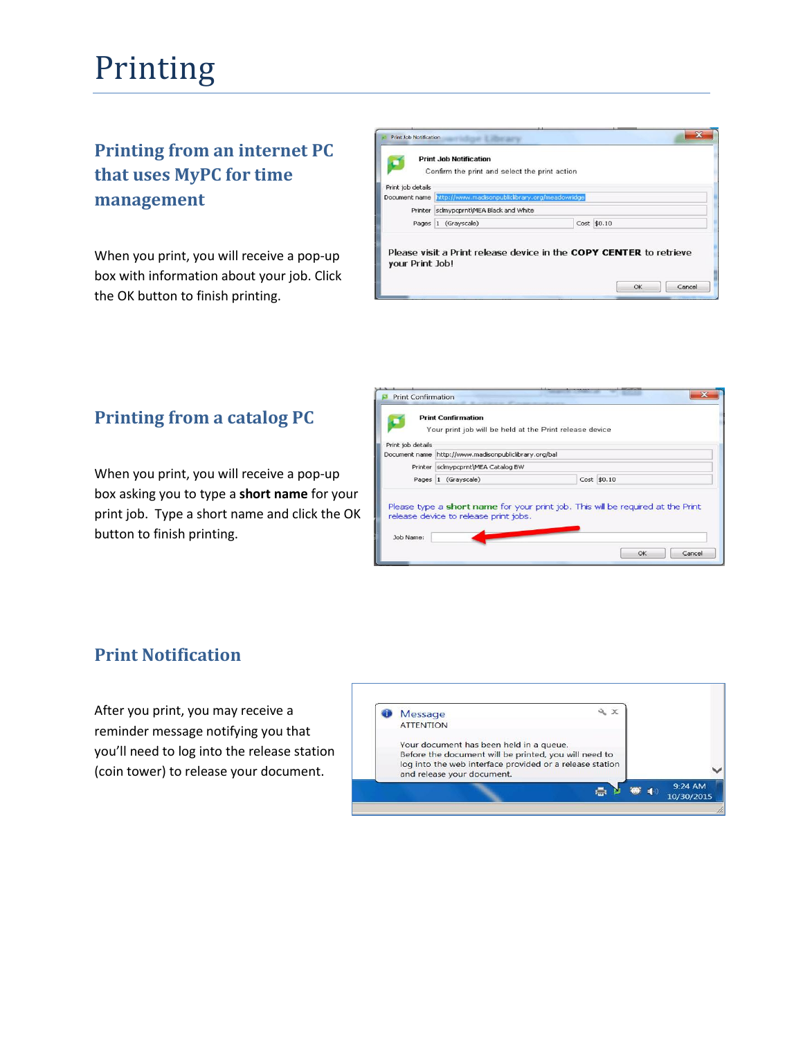# Printing

# **Printing from an internet PC that uses MyPC for time management**

When you print, you will receive a pop-up box with information about your job. Click the OK button to finish printing.

|                   | <b>Print Job Notification</b><br>Confirm the print and select the print action |  |                                                                    |
|-------------------|--------------------------------------------------------------------------------|--|--------------------------------------------------------------------|
| Print job details |                                                                                |  |                                                                    |
|                   | Document name http://www.madisonpubliclibrary.org/meadowridge                  |  |                                                                    |
|                   | Printer sclmypcprnt\MEA Black and White                                        |  |                                                                    |
|                   | Pages 1 (Grayscale)                                                            |  | Cost \$0.10                                                        |
| your Print Job!   |                                                                                |  | Please visit a Print release device in the COPY CENTER to retrieve |

### **Printing from a catalog PC**

When you print, you will receive a pop-up box asking you to type a **short name** for your print job. Type a short name and click the OK button to finish printing.

| Print Confirmation |                                                       |                                                                                 |  |
|--------------------|-------------------------------------------------------|---------------------------------------------------------------------------------|--|
|                    | <b>Print Confirmation</b>                             | Your print job will be held at the Print release device                         |  |
| Print job details  |                                                       |                                                                                 |  |
|                    | Document name http://www.madisonpubliclibrary.org/bal |                                                                                 |  |
|                    | Printer sclmypcprnt\MEA Catalog BW                    |                                                                                 |  |
|                    | Pages 1 (Grayscale)                                   | Cost \$0.10                                                                     |  |
| Job Name:          | release device to release print jobs.                 | Please type a short name for your print job. This will be required at the Print |  |
|                    |                                                       | OK<br>Cancel                                                                    |  |

### **Print Notification**

After you print, you may receive a reminder message notifying you that you'll need to log into the release station (coin tower) to release your document.